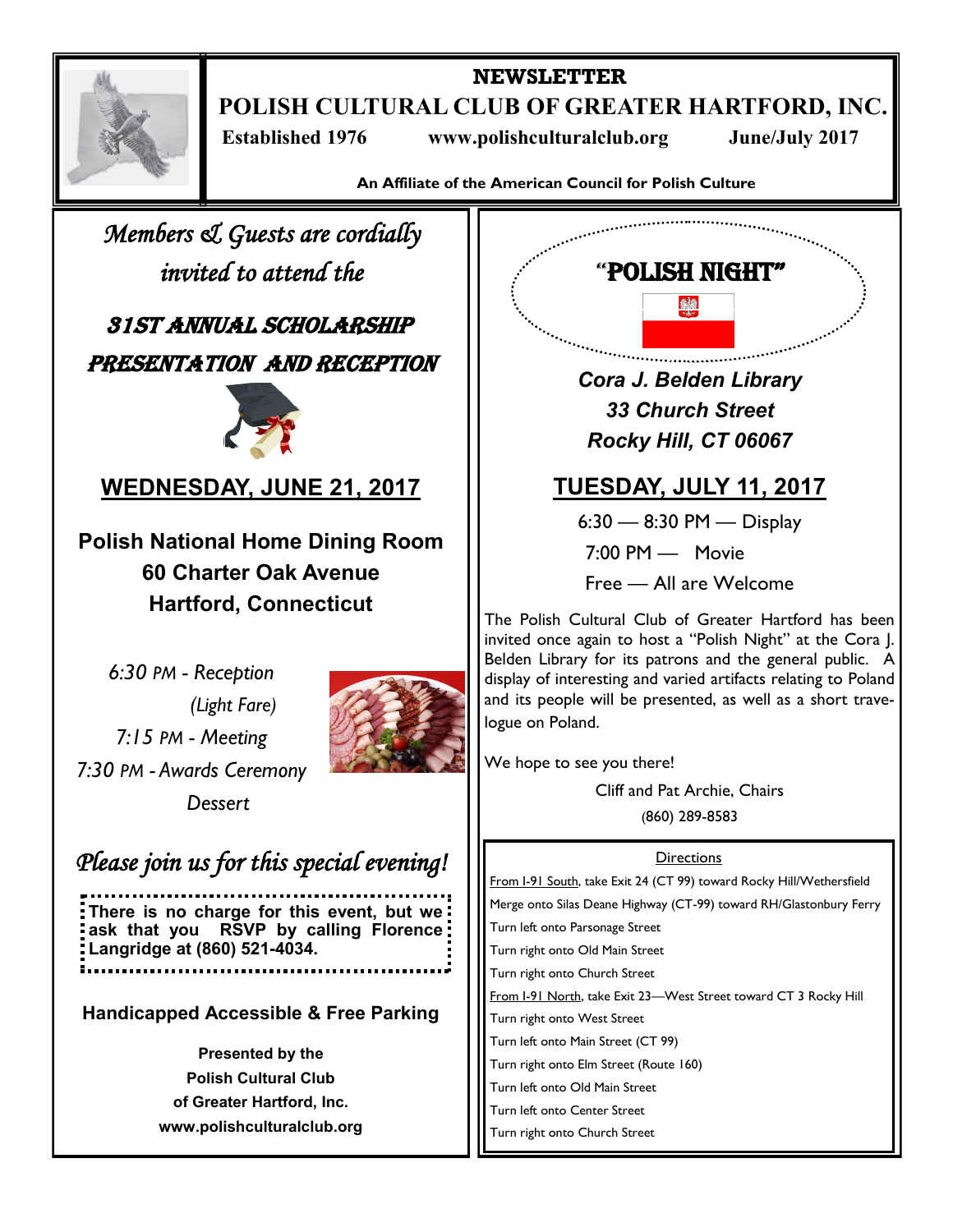

**NEWSLETTER POLISH CULTURAL CLUB OF GREATER HARTFORD, INC.**

 **Established 1976 www.polishculturalclub.org June/July 2017**

**An Affiliate of the American Council for Polish Culture**

*Members & Guests are cordially invited to attend the* 

31st Annual scholarship Presentation and Reception



**WEDNESDAY, JUNE 21, 2017**

**Polish National Home Dining Room 60 Charter Oak Avenue Hartford, Connecticut** 

*6:30 PM - Reception (Light Fare) 7:15 PM - Meeting 7:30 PM - Awards Ceremony Dessert*



*Please join us for this special evening!* 

**There is no charge for this event, but we ask that you RSVP by calling Florence Langridge at (860) 521-4034.**

**Handicapped Accessible & Free Parking**

**Presented by the Polish Cultural Club of Greater Hartford, Inc. www.polishculturalclub.org**  *Cora J. Belden Library 33 Church Street Rocky Hill, CT 06067*

"Polish Night"

# **TUESDAY, JULY 11, 2017**

6:30 — 8:30 PM — Display

7:00 PM — Movie

Free — All are Welcome

The Polish Cultural Club of Greater Hartford has been invited once again to host a "Polish Night" at the Cora J. Belden Library for its patrons and the general public. A display of interesting and varied artifacts relating to Poland and its people will be presented, as well as a short travelogue on Poland.

We hope to see you there!

Cliff and Pat Archie, Chairs (860) 289-8583

### **Directions**

From I-91 South, take Exit 24 (CT 99) toward Rocky Hill/Wethersfield Merge onto Silas Deane Highway (CT-99) toward RH/Glastonbury Ferry Turn left onto Parsonage Street Turn right onto Old Main Street Turn right onto Church Street From I-91 North, take Exit 23-West Street toward CT 3 Rocky Hill Turn right onto West Street Turn left onto Main Street (CT 99) Turn right onto Elm Street (Route 160) Turn left onto Old Main Street Turn left onto Center Street Turn right onto Church Street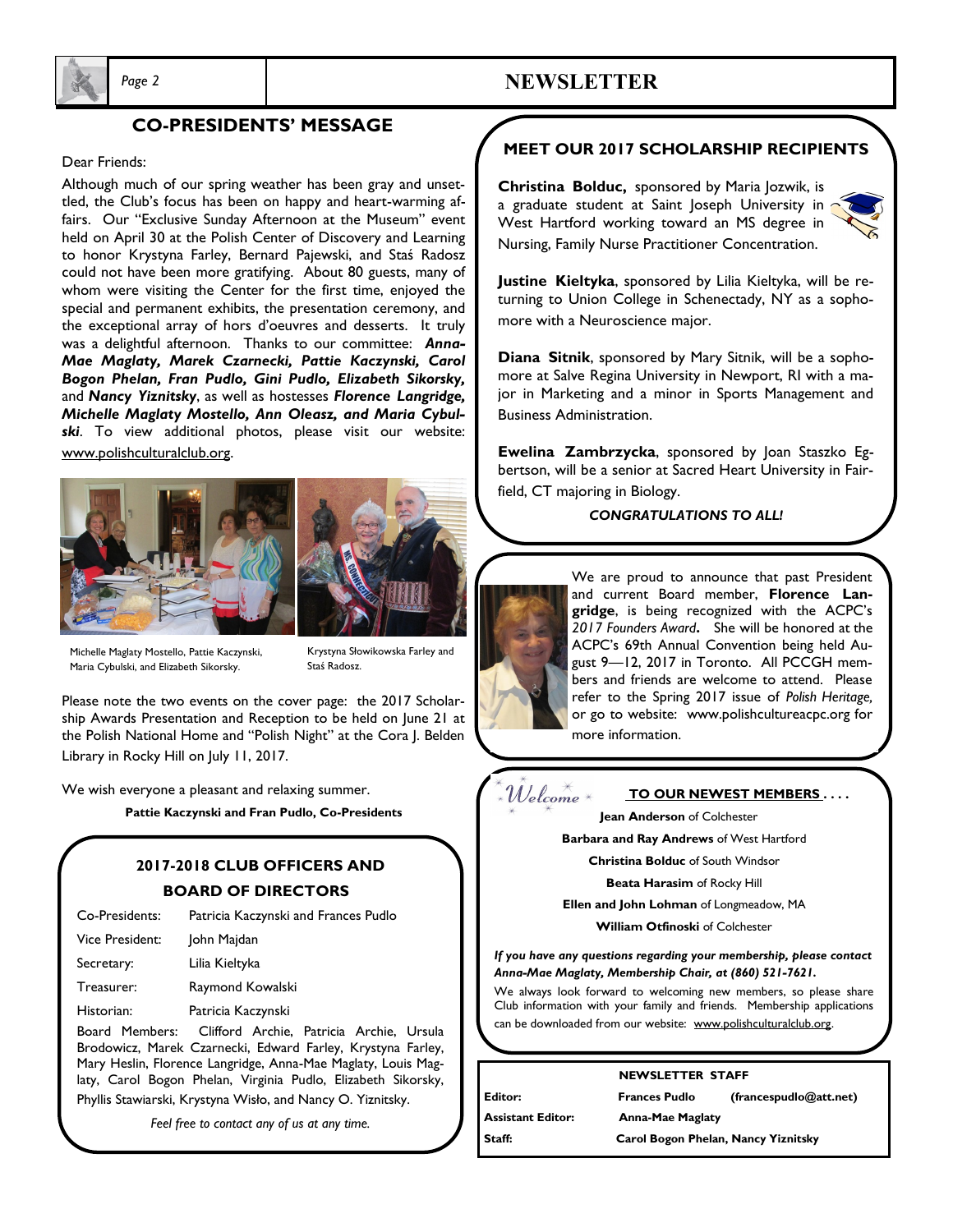

### **CO-PRESIDENTS' MESSAGE**

#### Dear Friends:

Although much of our spring weather has been gray and unsettled, the Club's focus has been on happy and heart-warming affairs. Our "Exclusive Sunday Afternoon at the Museum" event held on April 30 at the Polish Center of Discovery and Learning to honor Krystyna Farley, Bernard Pajewski, and Staś Radosz could not have been more gratifying. About 80 guests, many of whom were visiting the Center for the first time, enjoyed the special and permanent exhibits, the presentation ceremony, and the exceptional array of hors d'oeuvres and desserts. It truly was a delightful afternoon. Thanks to our committee: *Anna-Mae Maglaty, Marek Czarnecki, Pattie Kaczynski, Carol Bogon Phelan, Fran Pudlo, Gini Pudlo, Elizabeth Sikorsky,*  and *Nancy Yiznitsky*, as well as hostesses *Florence Langridge, Michelle Maglaty Mostello, Ann Oleasz, and Maria Cybulski*. To view additional photos, please visit our website: www.polishculturalclub.org.





Krystyna Słowikowska Farley and Staś Radosz.

*Page 2* **NEWSLETTER**

Please note the two events on the cover page: the 2017 Scholarship Awards Presentation and Reception to be held on June 21 at the Polish National Home and "Polish Night" at the Cora J. Belden Library in Rocky Hill on July 11, 2017.

We wish everyone a pleasant and relaxing summer.

**Pattie Kaczynski and Fran Pudlo, Co-Presidents**

### **2017-2018 CLUB OFFICERS AND BOARD OF DIRECTORS**

| Co-Presidents:  | Patricia Kaczynski and Frances Pudlo     |
|-----------------|------------------------------------------|
| Vice President: | John Majdan                              |
| Secretary:      | Lilia Kieltyka                           |
| Treasurer:      | Raymond Kowalski                         |
| Historian:      | Patricia Kaczynski                       |
| Board Members:  | Clifford Archie, Patricia Archie, Ursula |

Brodowicz, Marek Czarnecki, Edward Farley, Krystyna Farley, Mary Heslin, Florence Langridge, Anna-Mae Maglaty, Louis Maglaty, Carol Bogon Phelan, Virginia Pudlo, Elizabeth Sikorsky, Phyllis Stawiarski, Krystyna Wisło, and Nancy O. Yiznitsky.

*Feel free to contact any of us at any time.* 

### **MEET OUR 2017 SCHOLARSHIP RECIPIENTS**

**Christina Bolduc,** sponsored by Maria Jozwik, is a graduate student at Saint Joseph University in West Hartford working toward an MS degree in Nursing, Family Nurse Practitioner Concentration.



**Justine Kieltyka**, sponsored by Lilia Kieltyka, will be returning to Union College in Schenectady, NY as a sophomore with a Neuroscience major.

**Diana Sitnik**, sponsored by Mary Sitnik, will be a sophomore at Salve Regina University in Newport, RI with a major in Marketing and a minor in Sports Management and Business Administration.

**Ewelina Zambrzycka**, sponsored by Joan Staszko Egbertson, will be a senior at Sacred Heart University in Fairfield, CT majoring in Biology.

#### *CONGRATULATIONS TO ALL!*

We are proud to announce that past President and current Board member, **Florence Langridge**, is being recognized with the ACPC's *2017 Founders Award***.** She will be honored at the ACPC's 69th Annual Convention being held August 9—12, 2017 in Toronto. All PCCGH members and friends are welcome to attend. Please refer to the Spring 2017 issue of *Polish Heritage,*  or go to website: www.polishcultureacpc.org for more information.

 $\mathcal W$ elcome  $^\ast$ 

**TO OUR NEWEST MEMBERS . . . . Jean Anderson** of Colchester

**Barbara and Ray Andrews** of West Hartford

**Christina Bolduc** of South Windsor

**Beata Harasim** of Rocky Hill

**Ellen and John Lohman** of Longmeadow, MA

**William Otfinoski** of Colchester

*If you have any questions regarding your membership, please contact Anna-Mae Maglaty, Membership Chair, at (860) 521-7621.*

We always look forward to welcoming new members, so please share Club information with your family and friends. Membership applications can be downloaded from our website: www.polishculturalclub.org.

#### **NEWSLETTER STAFF**

**Editor: Frances Pudlo (francespudlo@att.net)** 

**Assistant Editor: Anna-Mae Maglaty**

**Staff: Carol Bogon Phelan, Nancy Yiznitsky**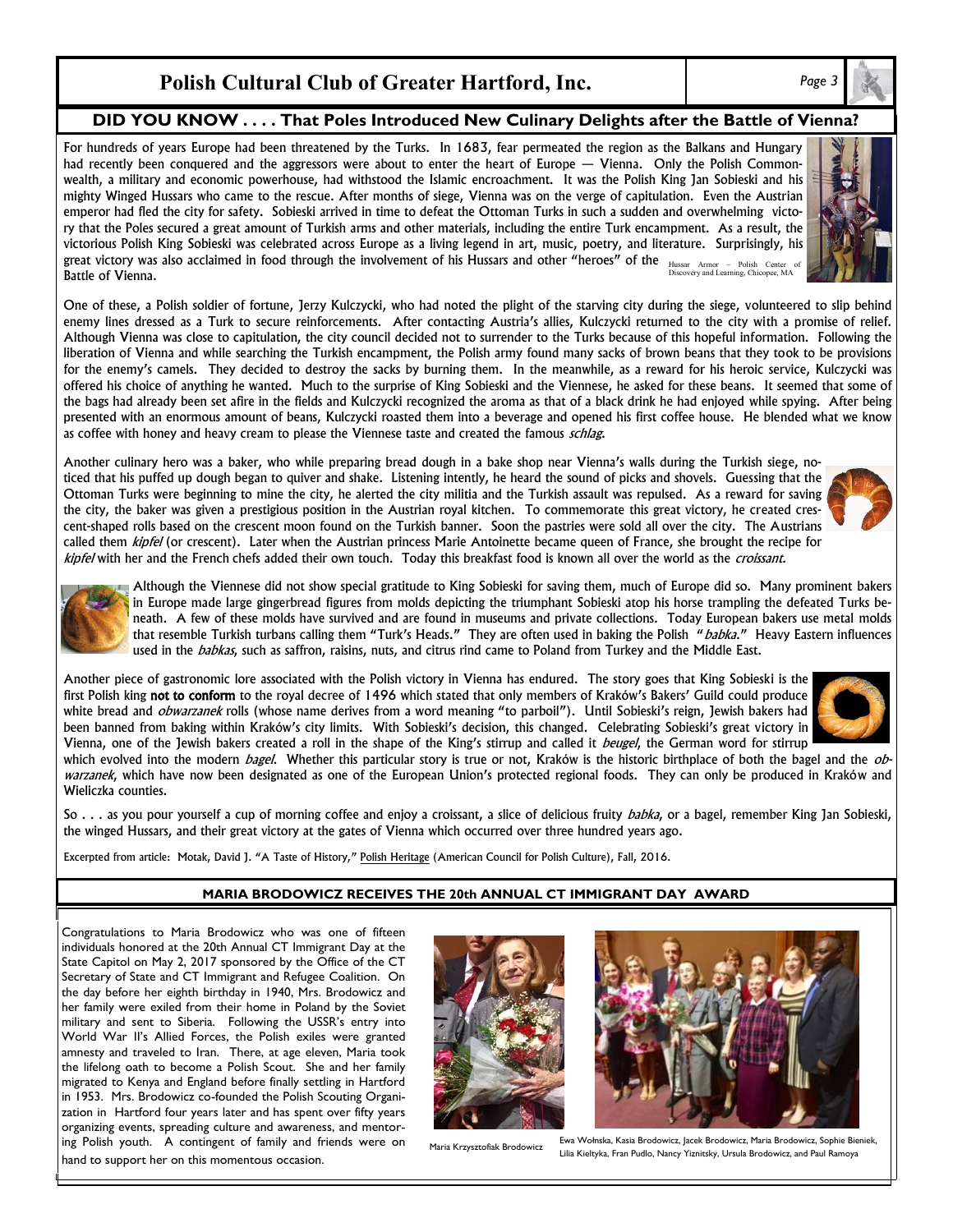## **Polish Cultural Club of Greater Hartford, Inc.** *Page 3*

**DID YOU KNOW . . . . That Poles Introduced New Culinary Delights after the Battle of Vienna?**

For hundreds of years Europe had been threatened by the Turks. In 1683, fear permeated the region as the Balkans and Hungary had recently been conquered and the aggressors were about to enter the heart of Europe — Vienna. Only the Polish Commonwealth, a military and economic powerhouse, had withstood the Islamic encroachment. It was the Polish King Jan Sobieski and his mighty Winged Hussars who came to the rescue. After months of siege, Vienna was on the verge of capitulation. Even the Austrian emperor had fled the city for safety. Sobieski arrived in time to defeat the Ottoman Turks in such a sudden and overwhelming victory that the Poles secured a great amount of Turkish arms and other materials, including the entire Turk encampment. As a result, the victorious Polish King Sobieski was celebrated across Europe as a living legend in art, music, poetry, and literature. Surprisingly, his great victory was also acclaimed in food through the involvement of his Hussars and other "heroes" of the  $H_{\text{Lussar-Armor}-P}$  Polish Center of Polish Center of Alson and Learning, Chicopee, MA Battle of Vienna.

One of these, a Polish soldier of fortune, Jerzy Kulczycki, who had noted the plight of the starving city during the siege, volunteered to slip behind enemy lines dressed as a Turk to secure reinforcements. After contacting Austria's allies, Kulczycki returned to the city with a promise of relief. Although Vienna was close to capitulation, the city council decided not to surrender to the Turks because of this hopeful information. Following the liberation of Vienna and while searching the Turkish encampment, the Polish army found many sacks of brown beans that they took to be provisions for the enemy's camels. They decided to destroy the sacks by burning them. In the meanwhile, as a reward for his heroic service, Kulczycki was offered his choice of anything he wanted. Much to the surprise of King Sobieski and the Viennese, he asked for these beans. It seemed that some of the bags had already been set afire in the fields and Kulczycki recognized the aroma as that of a black drink he had enjoyed while spying. After being presented with an enormous amount of beans, Kulczycki roasted them into a beverage and opened his first coffee house. He blended what we know as coffee with honey and heavy cream to please the Viennese taste and created the famous schlag.

Another culinary hero was a baker, who while preparing bread dough in a bake shop near Vienna's walls during the Turkish siege, noticed that his puffed up dough began to quiver and shake. Listening intently, he heard the sound of picks and shovels. Guessing that the Ottoman Turks were beginning to mine the city, he alerted the city militia and the Turkish assault was repulsed. As a reward for saving the city, the baker was given a prestigious position in the Austrian royal kitchen. To commemorate this great victory, he created crescent-shaped rolls based on the crescent moon found on the Turkish banner. Soon the pastries were sold all over the city. The Austrians called them kipfel (or crescent). Later when the Austrian princess Marie Antoinette became queen of France, she brought the recipe for kipfel with her and the French chefs added their own touch. Today this breakfast food is known all over the world as the croissant.

Although the Viennese did not show special gratitude to King Sobieski for saving them, much of Europe did so. Many prominent bakers in Europe made large gingerbread figures from molds depicting the triumphant Sobieski atop his horse trampling the defeated Turks beneath. A few of these molds have survived and are found in museums and private collections. Today European bakers use metal molds that resemble Turkish turbans calling them "Turk's Heads." They are often used in baking the Polish "babka." Heavy Eastern influences used in the babkas, such as saffron, raisins, nuts, and citrus rind came to Poland from Turkey and the Middle East.

Another piece of gastronomic lore associated with the Polish victory in Vienna has endured. The story goes that King Sobieski is the first Polish king not to conform to the royal decree of 1496 which stated that only members of Kraków's Bakers' Guild could produce white bread and *obwarzanek* rolls (whose name derives from a word meaning "to parboil"). Until Sobieski's reign, Jewish bakers had been banned from baking within Kraków's city limits. With Sobieski's decision, this changed. Celebrating Sobieski's great victory in Vienna, one of the Jewish bakers created a roll in the shape of the King's stirrup and called it *beugel*, the German word for stirrup which evolved into the modern *bagel*. Whether this particular story is true or not, Kraków is the historic birthplace of both the bagel and the *ob*-

warzanek, which have now been designated as one of the European Union's protected regional foods. They can only be produced in Kraków and Wieliczka counties.

So . . . as you pour yourself a cup of morning coffee and enjoy a croissant, a slice of delicious fruity babka, or a bagel, remember King Jan Sobieski, the winged Hussars, and their great victory at the gates of Vienna which occurred over three hundred years ago.

Excerpted from article: Motak, David J. "A Taste of History," Polish Heritage (American Council for Polish Culture), Fall, 2016.

#### **MARIA BRODOWICZ RECEIVES THE 20th ANNUAL CT IMMIGRANT DAY AWARD**

Congratulations to Maria Brodowicz who was one of fifteen individuals honored at the 20th Annual CT Immigrant Day at the State Capitol on May 2, 2017 sponsored by the Office of the CT Secretary of State and CT Immigrant and Refugee Coalition. On the day before her eighth birthday in 1940, Mrs. Brodowicz and her family were exiled from their home in Poland by the Soviet military and sent to Siberia. Following the USSR's entry into World War II's Allied Forces, the Polish exiles were granted amnesty and traveled to Iran. There, at age eleven, Maria took the lifelong oath to become a Polish Scout. She and her family migrated to Kenya and England before finally settling in Hartford in 1953. Mrs. Brodowicz co-founded the Polish Scouting Organization in Hartford four years later and has spent over fifty years organizing events, spreading culture and awareness, and mentoring Polish youth. A contingent of family and friends were on hand to support her on this momentous occasion.



Ewa Wołnska, Kasia Brodowicz, Jacek Brodowicz, Maria Brodowicz, Sophie Bieniek,